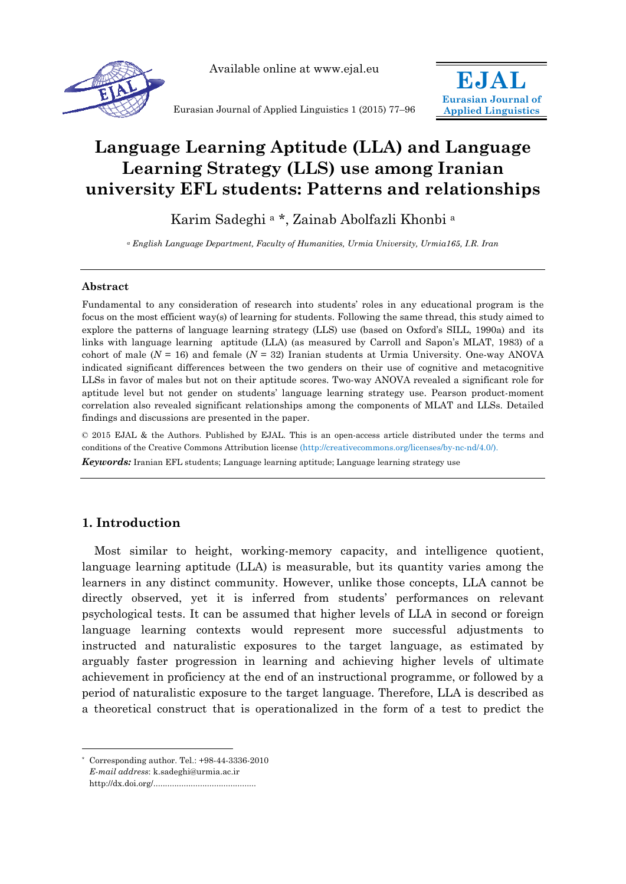

Available online at www.ejal.eu

Eurasian Journal of Applied Linguistics 1 (2015) 77–96



# **Language Learning Aptitude (LLA) and Language Learning Strategy (LLS) use among Iranian university EFL students: Patterns and relationships**

Karim Sadeghi a \*, Zainab Abolfazli Khonbi a

*a English Language Department, Faculty of Humanities, Urmia University, Urmia165, I.R. Iran* 

## **Abstract**

Fundamental to any consideration of research into students' roles in any educational program is the focus on the most efficient way(s) of learning for students. Following the same thread, this study aimed to explore the patterns of language learning strategy (LLS) use (based on Oxford's SILL, 1990a) and its links with language learning aptitude (LLA) (as measured by Carroll and Sapon's MLAT, 1983) of a cohort of male (*N* = 16) and female (*N* = 32) Iranian students at Urmia University. One-way ANOVA indicated significant differences between the two genders on their use of cognitive and metacognitive LLSs in favor of males but not on their aptitude scores. Two-way ANOVA revealed a significant role for aptitude level but not gender on students' language learning strategy use. Pearson product-moment correlation also revealed significant relationships among the components of MLAT and LLSs. Detailed findings and discussions are presented in the paper.

© 2015 EJAL & the Authors. Published by EJAL. This is an open-access article distributed under the terms and conditions of the Creative Commons Attribution license (http://creativecommons.org/licenses/by-nc-nd/4.0/). *Keywords:* Iranian EFL students; Language learning aptitude; Language learning strategy use

## **1. Introduction**

 $\overline{a}$ 

Most similar to height, working-memory capacity, and intelligence quotient, language learning aptitude (LLA) is measurable, but its quantity varies among the learners in any distinct community. However, unlike those concepts, LLA cannot be directly observed, yet it is inferred from students' performances on relevant psychological tests. It can be assumed that higher levels of LLA in second or foreign language learning contexts would represent more successful adjustments to instructed and naturalistic exposures to the target language, as estimated by arguably faster progression in learning and achieving higher levels of ultimate achievement in proficiency at the end of an instructional programme, or followed by a period of naturalistic exposure to the target language. Therefore, LLA is described as a theoretical construct that is operationalized in the form of a test to predict the

Corresponding author. Tel.:  $+98-44-3336-2010$ *E-mail address*: k.sadeghi@urmia.ac.ir http://dx.doi.org/............................................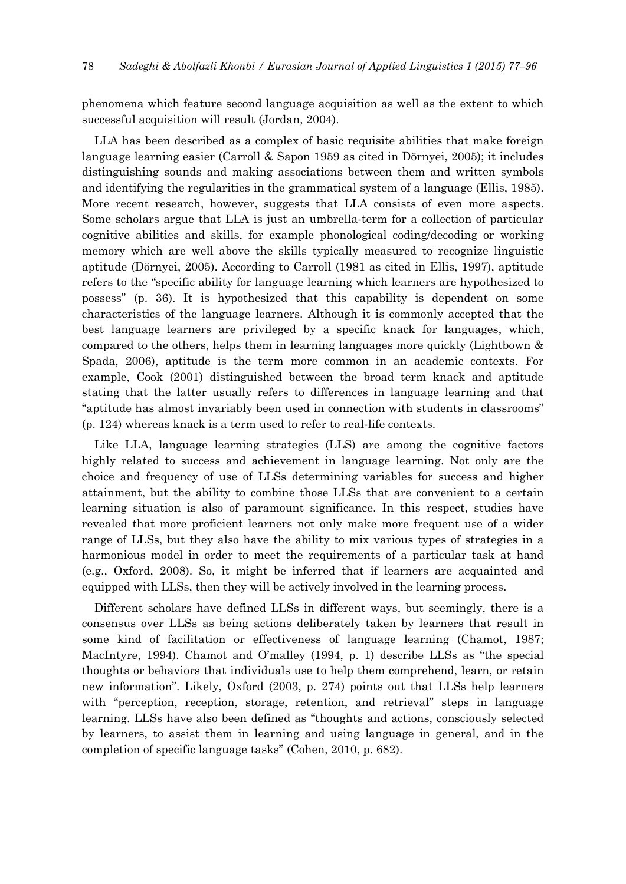phenomena which feature second language acquisition as well as the extent to which successful acquisition will result (Jordan, 2004).

LLA has been described as a complex of basic requisite abilities that make foreign language learning easier (Carroll & Sapon 1959 as cited in Dörnyei, 2005); it includes distinguishing sounds and making associations between them and written symbols and identifying the regularities in the grammatical system of a language (Ellis, 1985). More recent research, however, suggests that LLA consists of even more aspects. Some scholars argue that LLA is just an umbrella-term for a collection of particular cognitive abilities and skills, for example phonological coding/decoding or working memory which are well above the skills typically measured to recognize linguistic aptitude (Dörnyei, 2005). According to Carroll (1981 as cited in Ellis, 1997), aptitude refers to the "specific ability for language learning which learners are hypothesized to possess" (p. 36). It is hypothesized that this capability is dependent on some characteristics of the language learners. Although it is commonly accepted that the best language learners are privileged by a specific knack for languages, which, compared to the others, helps them in learning languages more quickly (Lightbown & Spada, 2006), aptitude is the term more common in an academic contexts. For example, Cook (2001) distinguished between the broad term knack and aptitude stating that the latter usually refers to differences in language learning and that "aptitude has almost invariably been used in connection with students in classrooms" (p. 124) whereas knack is a term used to refer to real-life contexts.

Like LLA, language learning strategies (LLS) are among the cognitive factors highly related to success and achievement in language learning. Not only are the choice and frequency of use of LLSs determining variables for success and higher attainment, but the ability to combine those LLSs that are convenient to a certain learning situation is also of paramount significance. In this respect, studies have revealed that more proficient learners not only make more frequent use of a wider range of LLSs, but they also have the ability to mix various types of strategies in a harmonious model in order to meet the requirements of a particular task at hand (e.g., Oxford, 2008). So, it might be inferred that if learners are acquainted and equipped with LLSs, then they will be actively involved in the learning process.

Different scholars have defined LLSs in different ways, but seemingly, there is a consensus over LLSs as being actions deliberately taken by learners that result in some kind of facilitation or effectiveness of language learning (Chamot, 1987; MacIntyre, 1994). Chamot and O'malley (1994, p. 1) describe LLSs as "the special thoughts or behaviors that individuals use to help them comprehend, learn, or retain new information". Likely, Oxford (2003, p. 274) points out that LLSs help learners with "perception, reception, storage, retention, and retrieval" steps in language learning. LLSs have also been defined as "thoughts and actions, consciously selected by learners, to assist them in learning and using language in general, and in the completion of specific language tasks" (Cohen, 2010, p. 682).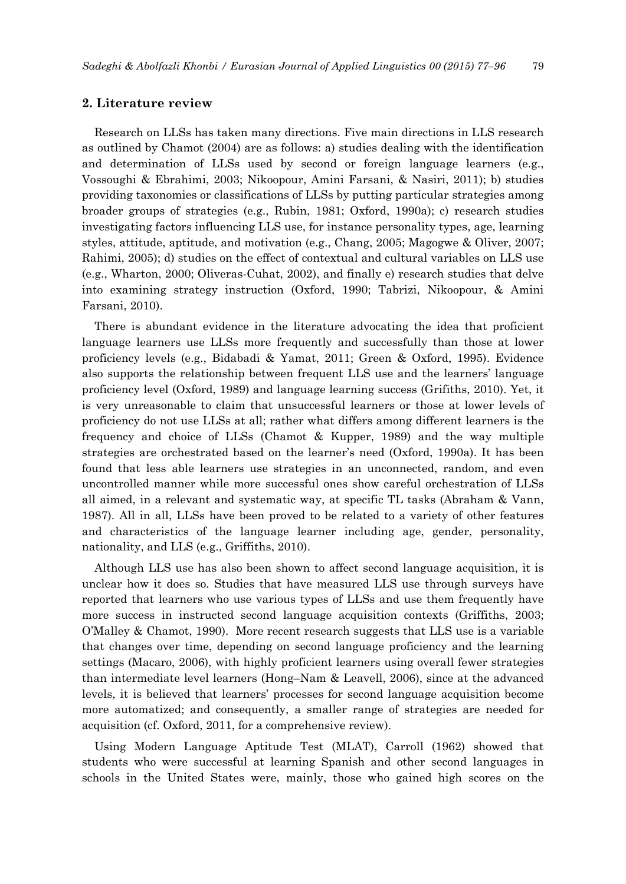## **2. Literature review**

Research on LLSs has taken many directions. Five main directions in LLS research as outlined by Chamot (2004) are as follows: a) studies dealing with the identification and determination of LLSs used by second or foreign language learners (e.g., Vossoughi & Ebrahimi, 2003; Nikoopour, Amini Farsani, & Nasiri, 2011); b) studies providing taxonomies or classifications of LLSs by putting particular strategies among broader groups of strategies (e.g., Rubin, 1981; Oxford, 1990a); c) research studies investigating factors influencing LLS use, for instance personality types, age, learning styles, attitude, aptitude, and motivation (e.g., Chang, 2005; Magogwe & Oliver, 2007; Rahimi, 2005); d) studies on the effect of contextual and cultural variables on LLS use (e.g., Wharton, 2000; Oliveras-Cuhat, 2002), and finally e) research studies that delve into examining strategy instruction (Oxford, 1990; Tabrizi, Nikoopour, & Amini Farsani, 2010).

There is abundant evidence in the literature advocating the idea that proficient language learners use LLSs more frequently and successfully than those at lower proficiency levels (e.g., Bidabadi & Yamat, 2011; Green & Oxford, 1995). Evidence also supports the relationship between frequent LLS use and the learners' language proficiency level (Oxford, 1989) and language learning success (Grifiths, 2010). Yet, it is very unreasonable to claim that unsuccessful learners or those at lower levels of proficiency do not use LLSs at all; rather what differs among different learners is the frequency and choice of LLSs (Chamot & Kupper, 1989) and the way multiple strategies are orchestrated based on the learner's need (Oxford, 1990a). It has been found that less able learners use strategies in an unconnected, random, and even uncontrolled manner while more successful ones show careful orchestration of LLSs all aimed, in a relevant and systematic way, at specific TL tasks (Abraham & Vann, 1987). All in all, LLSs have been proved to be related to a variety of other features and characteristics of the language learner including age, gender, personality, nationality, and LLS (e.g., Griffiths, 2010).

Although LLS use has also been shown to affect second language acquisition, it is unclear how it does so. Studies that have measured LLS use through surveys have reported that learners who use various types of LLSs and use them frequently have more success in instructed second language acquisition contexts (Griffiths, 2003; O'Malley & Chamot, 1990). More recent research suggests that LLS use is a variable that changes over time, depending on second language proficiency and the learning settings (Macaro, 2006), with highly proficient learners using overall fewer strategies than intermediate level learners (Hong–Nam & Leavell, 2006), since at the advanced levels, it is believed that learners' processes for second language acquisition become more automatized; and consequently, a smaller range of strategies are needed for acquisition (cf. Oxford, 2011, for a comprehensive review).

Using Modern Language Aptitude Test (MLAT), Carroll (1962) showed that students who were successful at learning Spanish and other second languages in schools in the United States were, mainly, those who gained high scores on the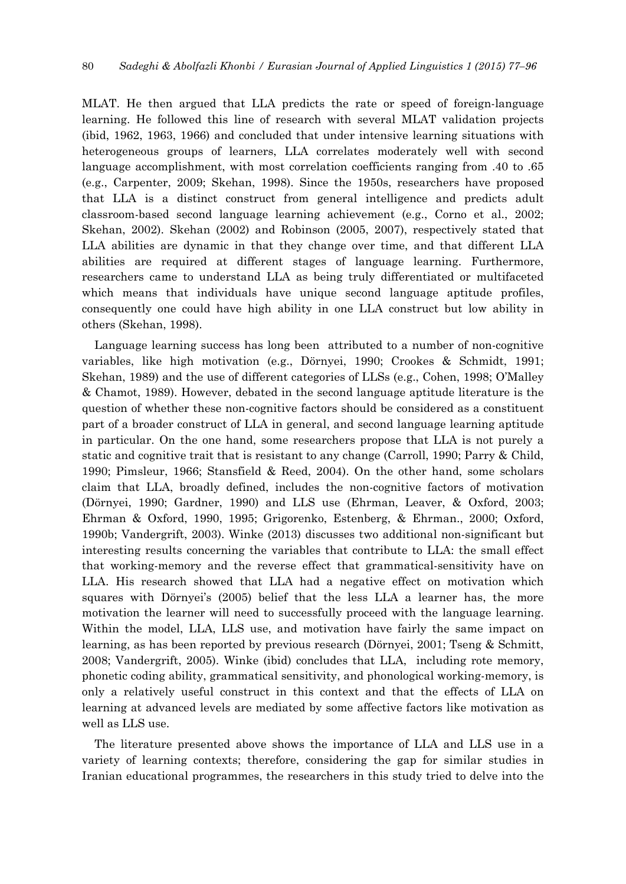MLAT. He then argued that LLA predicts the rate or speed of foreign-language learning. He followed this line of research with several MLAT validation projects (ibid, 1962, 1963, 1966) and concluded that under intensive learning situations with heterogeneous groups of learners, LLA correlates moderately well with second language accomplishment, with most correlation coefficients ranging from .40 to .65 (e.g., Carpenter, 2009; Skehan, 1998). Since the 1950s, researchers have proposed that LLA is a distinct construct from general intelligence and predicts adult classroom-based second language learning achievement (e.g., Corno et al., 2002; Skehan, 2002). Skehan (2002) and Robinson (2005, 2007), respectively stated that LLA abilities are dynamic in that they change over time, and that different LLA abilities are required at different stages of language learning. Furthermore, researchers came to understand LLA as being truly differentiated or multifaceted which means that individuals have unique second language aptitude profiles, consequently one could have high ability in one LLA construct but low ability in others (Skehan, 1998).

Language learning success has long been attributed to a number of non-cognitive variables, like high motivation (e.g., Dörnyei, 1990; Crookes & Schmidt, 1991; Skehan, 1989) and the use of different categories of LLSs (e.g., Cohen, 1998; O'Malley & Chamot, 1989). However, debated in the second language aptitude literature is the question of whether these non-cognitive factors should be considered as a constituent part of a broader construct of LLA in general, and second language learning aptitude in particular. On the one hand, some researchers propose that LLA is not purely a static and cognitive trait that is resistant to any change (Carroll, 1990; Parry & Child, 1990; Pimsleur, 1966; Stansfield & Reed, 2004). On the other hand, some scholars claim that LLA, broadly defined, includes the non-cognitive factors of motivation (Dörnyei, 1990; Gardner, 1990) and LLS use (Ehrman, Leaver, & Oxford, 2003; Ehrman & Oxford, 1990, 1995; Grigorenko, Estenberg, & Ehrman., 2000; Oxford, 1990b; Vandergrift, 2003). Winke (2013) discusses two additional non-significant but interesting results concerning the variables that contribute to LLA: the small effect that working-memory and the reverse effect that grammatical-sensitivity have on LLA. His research showed that LLA had a negative effect on motivation which squares with Dörnyei's (2005) belief that the less LLA a learner has, the more motivation the learner will need to successfully proceed with the language learning. Within the model, LLA, LLS use, and motivation have fairly the same impact on learning, as has been reported by previous research (Dörnyei, 2001; Tseng & Schmitt, 2008; Vandergrift, 2005). Winke (ibid) concludes that LLA, including rote memory, phonetic coding ability, grammatical sensitivity, and phonological working-memory, is only a relatively useful construct in this context and that the effects of LLA on learning at advanced levels are mediated by some affective factors like motivation as well as LLS use.

The literature presented above shows the importance of LLA and LLS use in a variety of learning contexts; therefore, considering the gap for similar studies in Iranian educational programmes, the researchers in this study tried to delve into the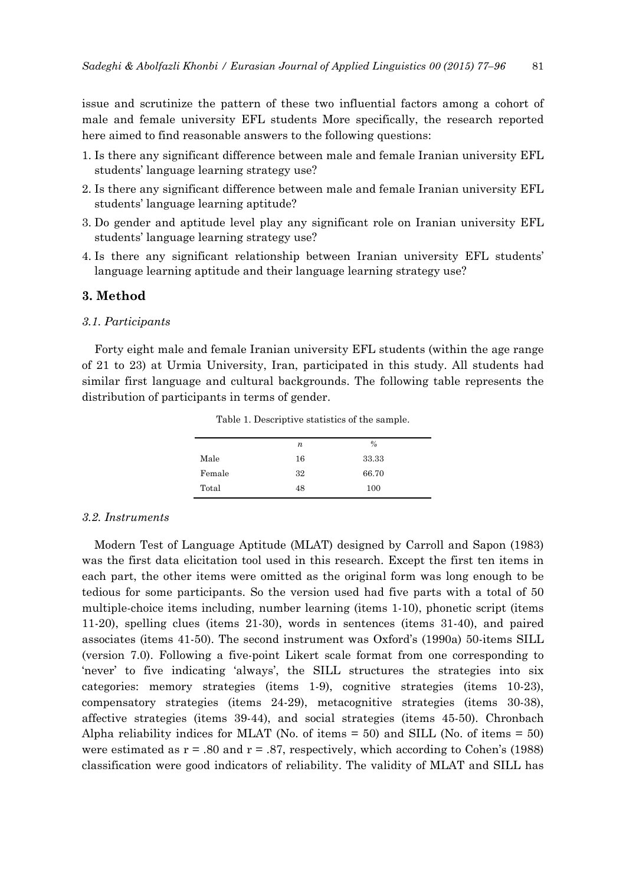issue and scrutinize the pattern of these two influential factors among a cohort of male and female university EFL students More specifically, the research reported here aimed to find reasonable answers to the following questions:

- 1. Is there any significant difference between male and female Iranian university EFL students' language learning strategy use?
- 2. Is there any significant difference between male and female Iranian university EFL students' language learning aptitude?
- 3. Do gender and aptitude level play any significant role on Iranian university EFL students' language learning strategy use?
- 4. Is there any significant relationship between Iranian university EFL students' language learning aptitude and their language learning strategy use?

## **3. Method**

#### *3.1. Participants*

Forty eight male and female Iranian university EFL students (within the age range of 21 to 23) at Urmia University, Iran, participated in this study. All students had similar first language and cultural backgrounds. The following table represents the distribution of participants in terms of gender.

|        | n  | $\frac{0}{0}$ |
|--------|----|---------------|
| Male   | 16 | 33.33         |
| Female | 32 | 66.70         |
| Total  | 48 | 100           |

Table 1. Descriptive statistics of the sample.

## *3.2. Instruments*

Modern Test of Language Aptitude (MLAT) designed by Carroll and Sapon (1983) was the first data elicitation tool used in this research. Except the first ten items in each part, the other items were omitted as the original form was long enough to be tedious for some participants. So the version used had five parts with a total of 50 multiple-choice items including, number learning (items 1-10), phonetic script (items 11-20), spelling clues (items 21-30), words in sentences (items 31-40), and paired associates (items 41-50). The second instrument was Oxford's (1990a) 50-items SILL (version 7.0). Following a five-point Likert scale format from one corresponding to 'never' to five indicating 'always', the SILL structures the strategies into six categories: memory strategies (items 1-9), cognitive strategies (items 10-23), compensatory strategies (items 24-29), metacognitive strategies (items 30-38), affective strategies (items 39-44), and social strategies (items 45-50). Chronbach Alpha reliability indices for MLAT (No. of items  $= 50$ ) and SILL (No. of items  $= 50$ ) were estimated as  $r = .80$  and  $r = .87$ , respectively, which according to Cohen's (1988) classification were good indicators of reliability. The validity of MLAT and SILL has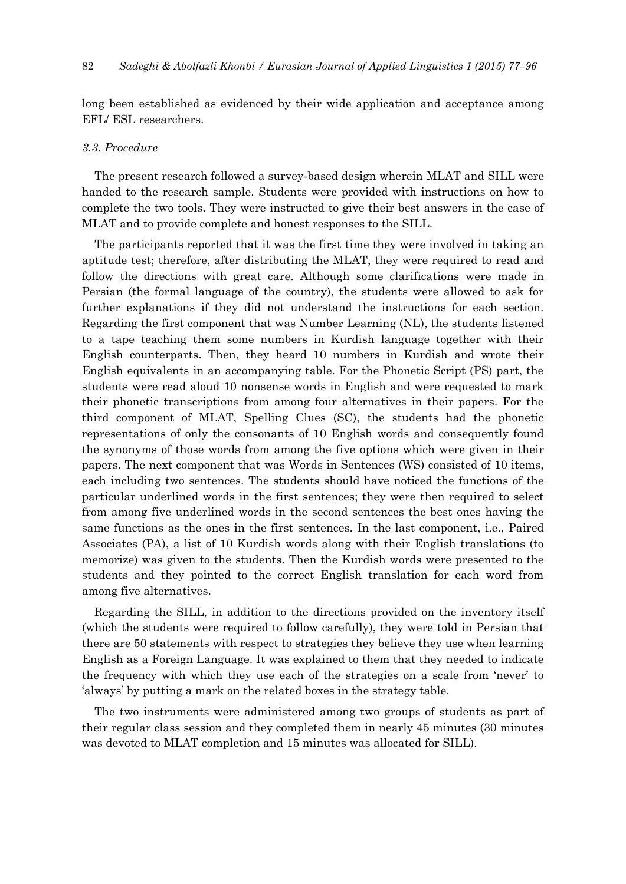long been established as evidenced by their wide application and acceptance among EFL/ ESL researchers.

#### *3.3. Procedure*

The present research followed a survey-based design wherein MLAT and SILL were handed to the research sample. Students were provided with instructions on how to complete the two tools. They were instructed to give their best answers in the case of MLAT and to provide complete and honest responses to the SILL.

The participants reported that it was the first time they were involved in taking an aptitude test; therefore, after distributing the MLAT, they were required to read and follow the directions with great care. Although some clarifications were made in Persian (the formal language of the country), the students were allowed to ask for further explanations if they did not understand the instructions for each section. Regarding the first component that was Number Learning (NL), the students listened to a tape teaching them some numbers in Kurdish language together with their English counterparts. Then, they heard 10 numbers in Kurdish and wrote their English equivalents in an accompanying table. For the Phonetic Script (PS) part, the students were read aloud 10 nonsense words in English and were requested to mark their phonetic transcriptions from among four alternatives in their papers. For the third component of MLAT, Spelling Clues (SC), the students had the phonetic representations of only the consonants of 10 English words and consequently found the synonyms of those words from among the five options which were given in their papers. The next component that was Words in Sentences (WS) consisted of 10 items, each including two sentences. The students should have noticed the functions of the particular underlined words in the first sentences; they were then required to select from among five underlined words in the second sentences the best ones having the same functions as the ones in the first sentences. In the last component, i.e., Paired Associates (PA), a list of 10 Kurdish words along with their English translations (to memorize) was given to the students. Then the Kurdish words were presented to the students and they pointed to the correct English translation for each word from among five alternatives.

Regarding the SILL, in addition to the directions provided on the inventory itself (which the students were required to follow carefully), they were told in Persian that there are 50 statements with respect to strategies they believe they use when learning English as a Foreign Language. It was explained to them that they needed to indicate the frequency with which they use each of the strategies on a scale from 'never' to 'always' by putting a mark on the related boxes in the strategy table.

The two instruments were administered among two groups of students as part of their regular class session and they completed them in nearly 45 minutes (30 minutes was devoted to MLAT completion and 15 minutes was allocated for SILL).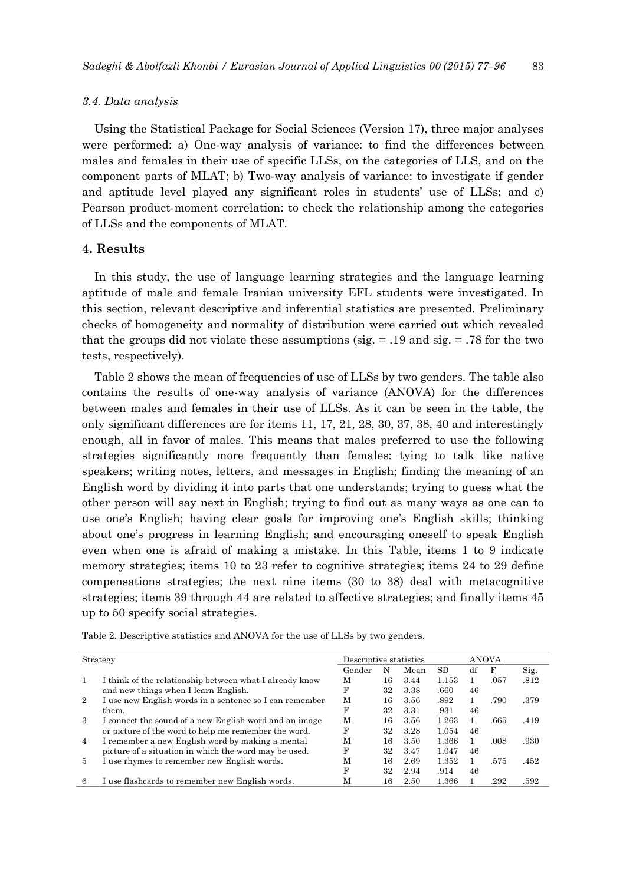#### *3.4. Data analysis*

Using the Statistical Package for Social Sciences (Version 17), three major analyses were performed: a) One-way analysis of variance: to find the differences between males and females in their use of specific LLSs, on the categories of LLS, and on the component parts of MLAT; b) Two-way analysis of variance: to investigate if gender and aptitude level played any significant roles in students' use of LLSs; and c) Pearson product-moment correlation: to check the relationship among the categories of LLSs and the components of MLAT.

## **4. Results**

In this study, the use of language learning strategies and the language learning aptitude of male and female Iranian university EFL students were investigated. In this section, relevant descriptive and inferential statistics are presented. Preliminary checks of homogeneity and normality of distribution were carried out which revealed that the groups did not violate these assumptions ( $sig. = 0.19$  and  $sig. = 0.78$  for the two tests, respectively).

Table 2 shows the mean of frequencies of use of LLSs by two genders. The table also contains the results of one-way analysis of variance (ANOVA) for the differences between males and females in their use of LLSs. As it can be seen in the table, the only significant differences are for items 11, 17, 21, 28, 30, 37, 38, 40 and interestingly enough, all in favor of males. This means that males preferred to use the following strategies significantly more frequently than females: tying to talk like native speakers; writing notes, letters, and messages in English; finding the meaning of an English word by dividing it into parts that one understands; trying to guess what the other person will say next in English; trying to find out as many ways as one can to use one's English; having clear goals for improving one's English skills; thinking about one's progress in learning English; and encouraging oneself to speak English even when one is afraid of making a mistake. In this Table, items 1 to 9 indicate memory strategies; items 10 to 23 refer to cognitive strategies; items 24 to 29 define compensations strategies; the next nine items (30 to 38) deal with metacognitive strategies; items 39 through 44 are related to affective strategies; and finally items 45 up to 50 specify social strategies.

|                | Strategy                                                | Descriptive statistics |    |      |       | ANOVA |      |      |  |
|----------------|---------------------------------------------------------|------------------------|----|------|-------|-------|------|------|--|
|                |                                                         | Gender                 | N  | Mean | SD.   | df    | F    | Sig. |  |
|                | I think of the relationship between what I already know | М                      | 16 | 3.44 | 1.153 |       | .057 | .812 |  |
|                | and new things when I learn English.                    | F                      | 32 | 3.38 | .660  | 46    |      |      |  |
| $^{2}$         | I use new English words in a sentence so I can remember | M                      | 16 | 3.56 | .892  |       | .790 | .379 |  |
|                | them.                                                   | F                      | 32 | 3.31 | .931  | 46    |      |      |  |
| $\mathcal{S}$  | I connect the sound of a new English word and an image  | M                      | 16 | 3.56 | 1.263 |       | .665 | .419 |  |
|                | or picture of the word to help me remember the word.    | F                      | 32 | 3.28 | 1.054 | 46    |      |      |  |
| $\overline{4}$ | I remember a new English word by making a mental        | М                      | 16 | 3.50 | 1.366 |       | .008 | .930 |  |
|                | picture of a situation in which the word may be used.   | F                      | 32 | 3.47 | 1.047 | 46    |      |      |  |
| 5.             | I use rhymes to remember new English words.             | M                      | 16 | 2.69 | 1.352 |       | .575 | .452 |  |
|                |                                                         | F                      | 32 | 2.94 | .914  | 46    |      |      |  |
| 6              | I use flashcards to remember new English words.         | M                      | 16 | 2.50 | 1.366 |       | .292 | 592  |  |

Table 2. Descriptive statistics and ANOVA for the use of LLSs by two genders.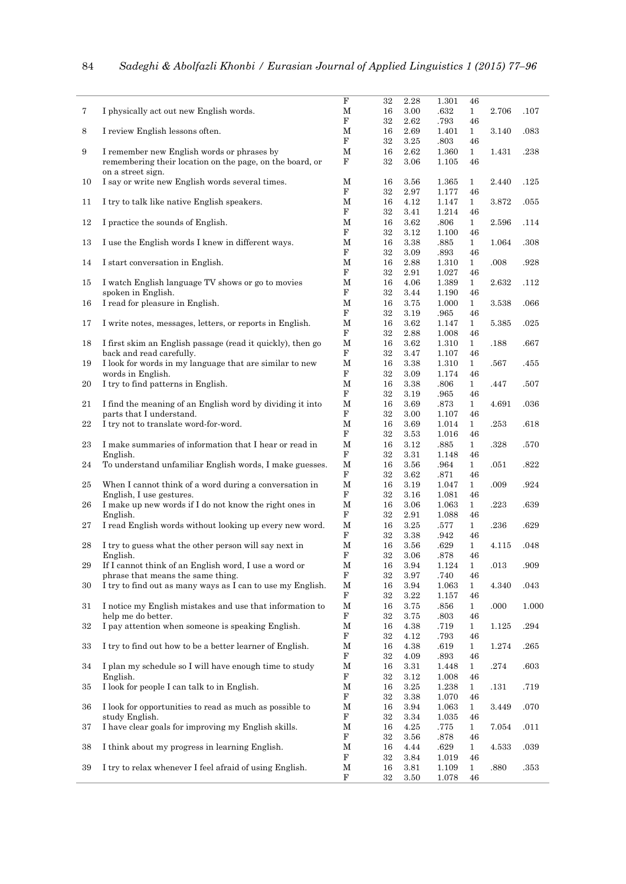|        |                                                            | F           | 32 | 2.28     | 1.301    | 46           |          |       |
|--------|------------------------------------------------------------|-------------|----|----------|----------|--------------|----------|-------|
| 7      | I physically act out new English words.                    | М           | 16 | 3.00     | .632     | $\mathbf{1}$ | 2.706    | .107  |
|        |                                                            | $\mathbf F$ | 32 | 2.62     | .793     | 46           |          |       |
| 8      | I review English lessons often.                            | М           | 16 | 2.69     | 1.401    | $\mathbf{1}$ | 3.140    | .083  |
|        |                                                            | F           | 32 | 3.25     | .803     | 46           |          |       |
| 9      | I remember new English words or phrases by                 | М           | 16 | 2.62     | 1.360    | $\mathbf{1}$ | 1.431    | .238  |
|        | remembering their location on the page, on the board, or   | F           | 32 | 3.06     | 1.105    | 46           |          |       |
|        | on a street sign.                                          |             |    |          |          |              |          |       |
| 10     | I say or write new English words several times.            | М           | 16 | 3.56     | 1.365    | $\mathbf{1}$ | 2.440    | .125  |
|        |                                                            | F           | 32 | 2.97     | 1.177    | 46           |          |       |
| 11     | I try to talk like native English speakers.                | М           | 16 | 4.12     | 1.147    | $\mathbf{1}$ | 3.872    | .055  |
|        |                                                            | F           | 32 | 3.41     | 1.214    | 46           |          |       |
| 12     | I practice the sounds of English.                          | М           | 16 | 3.62     | .806     | $\mathbf{1}$ | 2.596    | .114  |
|        |                                                            | F           | 32 | 3.12     | 1.100    | 46           |          |       |
| 13     | I use the English words I knew in different ways.          | М           | 16 | 3.38     | .885     | $\mathbf{1}$ | 1.064    | .308  |
|        |                                                            | F           | 32 | 3.09     | $.893\,$ | 46           |          |       |
| 14     | I start conversation in English.                           | М           | 16 | 2.88     | 1.310    | $\mathbf{1}$ | .008     | .928  |
|        |                                                            | $\mathbf F$ | 32 | 2.91     | 1.027    | 46           |          |       |
| 15     | I watch English language TV shows or go to movies          | М           | 16 | 4.06     | 1.389    | $\mathbf{1}$ | 2.632    | .112  |
|        | spoken in English.                                         | F           | 32 | 3.44     | 1.190    | 46           |          |       |
| 16     | I read for pleasure in English.                            | М           | 16 | 3.75     | 1.000    | $\mathbf{1}$ | 3.538    | .066  |
|        |                                                            | F           | 32 | 3.19     | .965     | 46           |          |       |
| 17     | I write notes, messages, letters, or reports in English.   | М           | 16 | 3.62     | 1.147    | $\mathbf{1}$ | 5.385    | .025  |
|        |                                                            | F           | 32 | 2.88     | 1.008    | 46           |          |       |
| 18     | I first skim an English passage (read it quickly), then go | $\mathbf M$ | 16 | 3.62     | 1.310    | $\mathbf{1}$ | .188     | .667  |
|        | back and read carefully.                                   | F           | 32 | 3.47     | 1.107    | 46           |          |       |
| 19     | I look for words in my language that are similar to new    | $\mathbf M$ | 16 | 3.38     | 1.310    | $\mathbf{1}$ | .567     | .455  |
|        | words in English.                                          | $\mathbf F$ | 32 | 3.09     | 1.174    | 46           |          |       |
| 20     | I try to find patterns in English.                         | М           | 16 | 3.38     | .806     | $\mathbf{1}$ | .447     | .507  |
|        |                                                            | $\mathbf F$ | 32 | 3.19     | .965     | 46           |          |       |
| 21     | I find the meaning of an English word by dividing it into  | М           | 16 | 3.69     | .873     | $\mathbf{1}$ | 4.691    | .036  |
|        | parts that I understand.                                   | $\mathbf F$ | 32 | 3.00     | 1.107    | 46           |          |       |
| 22     | I try not to translate word-for-word.                      | М           | 16 | 3.69     | 1.014    | $\mathbf{1}$ | .253     | .618  |
|        |                                                            | F           | 32 | 3.53     | 1.016    | 46           |          |       |
| 23     | I make summaries of information that I hear or read in     | M           | 16 | 3.12     | $.885\,$ | $\mathbf{1}$ | .328     | .570  |
|        | English.                                                   | F           | 32 | 3.31     | 1.148    | 46           |          |       |
| 24     | To understand unfamiliar English words, I make guesses.    | $\mathbf M$ | 16 | 3.56     | .964     | $\mathbf{1}$ | .051     | .822  |
|        |                                                            | $\mathbf F$ | 32 | 3.62     | .871     | 46           |          |       |
| 25     | When I cannot think of a word during a conversation in     | М           | 16 | 3.19     | 1.047    | $\mathbf{1}$ | .009     | .924  |
|        | English, I use gestures.                                   | $\mathbf F$ | 32 | 3.16     | 1.081    | 46           |          |       |
| 26     | I make up new words if I do not know the right ones in     | M           | 16 | 3.06     | 1.063    | $\mathbf{1}$ | .223     | .639  |
|        | English.                                                   | $\mathbf F$ | 32 | 2.91     | 1.088    | 46           |          |       |
| 27     | I read English words without looking up every new word.    | М           | 16 | 3.25     | .577     | $\mathbf{1}$ | .236     | .629  |
|        |                                                            | F           | 32 | 3.38     | .942     | 46           |          |       |
| 28     | I try to guess what the other person will say next in      | $\mathbf M$ | 16 | 3.56     | .629     | $\mathbf{1}$ | 4.115    | .048  |
|        | English.                                                   | F           | 32 | 3.06     | .878     | 46           |          |       |
| 29     | If I cannot think of an English word, I use a word or      | M           | 16 | $\!.94$  | 1.124    | 1            | .013     | .909  |
|        | phrase that means the same thing.                          | F           | 32 | 3.97     | .740     | 46           |          |       |
| 30     | I try to find out as many ways as I can to use my English. | М           | 16 | 3.94     | 1.063    | $\mathbf{1}$ | 4.340    | .043  |
|        |                                                            | F           | 32 | 3.22     | 1.157    | 46           |          |       |
| 31     | I notice my English mistakes and use that information to   | M           | 16 | 3.75     | .856     | $\mathbf{1}$ | .000     | 1.000 |
|        | help me do better.                                         | F           | 32 | 3.75     | .803     | 46           |          |       |
| $32\,$ | I pay attention when someone is speaking English.          | Μ           | 16 | 4.38     | .719     | $\mathbf{1}$ | 1.125    | .294  |
|        |                                                            | $\mathbf F$ | 32 | 4.12     | .793     | 46           |          |       |
| 33     | I try to find out how to be a better learner of English.   | М           | 16 | 4.38     | .619     | $\mathbf{1}$ | 1.274    | .265  |
|        |                                                            | F           | 32 | 4.09     | .893     | 46           |          |       |
| 34     | I plan my schedule so I will have enough time to study     | M           | 16 | 3.31     | 1.448    | $\mathbf{1}$ | $.274\,$ | .603  |
|        | English.                                                   | F           | 32 | 3.12     | 1.008    | 46           |          |       |
| 35     | I look for people I can talk to in English.                | M           | 16 | 3.25     | 1.238    | $\mathbf{1}$ | .131     | .719  |
|        |                                                            | F           | 32 | 3.38     | 1.070    | 46           |          |       |
| 36     | I look for opportunities to read as much as possible to    | M           | 16 | 3.94     | 1.063    | $\mathbf{1}$ | 3.449    | .070  |
|        | study English.                                             | F           | 32 | 3.34     | 1.035    | 46           |          |       |
| 37     | I have clear goals for improving my English skills.        | M           | 16 | 4.25     | .775     | $\mathbf{1}$ | 7.054    | .011  |
|        |                                                            | F           | 32 | $3.56\,$ | .878     | 46           |          |       |
| 38     | I think about my progress in learning English.             | М           | 16 | 4.44     | .629     | $\mathbf{1}$ | 4.533    | .039  |
|        |                                                            | F           | 32 | 3.84     | 1.019    | 46           |          |       |
| 39     | I try to relax whenever I feel afraid of using English.    | M           | 16 | 3.81     | 1.109    | $\mathbf{1}$ | .880     | .353  |
|        |                                                            | F           | 32 | 3.50     | 1.078    | 46           |          |       |
|        |                                                            |             |    |          |          |              |          |       |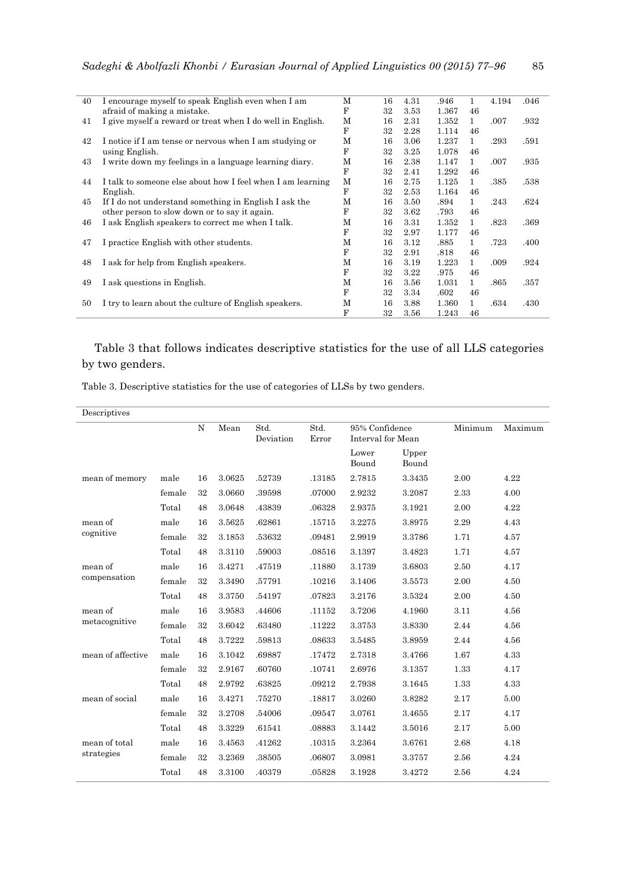| 40 | I encourage myself to speak English even when I am         | M | 16 | 4.31 | .946  | 1            | 4.194 | .046 |
|----|------------------------------------------------------------|---|----|------|-------|--------------|-------|------|
|    | afraid of making a mistake.                                | F | 32 | 3.53 | 1.367 | 46           |       |      |
| 41 | I give myself a reward or treat when I do well in English. | M | 16 | 2.31 | 1.352 | $\mathbf{1}$ | .007  | .932 |
|    |                                                            | F | 32 | 2.28 | 1.114 | 46           |       |      |
| 42 | I notice if I am tense or nervous when I am studying or    | М | 16 | 3.06 | 1.237 | 1            | .293  | .591 |
|    | using English.                                             | F | 32 | 3.25 | 1.078 | 46           |       |      |
| 43 | I write down my feelings in a language learning diary.     | М | 16 | 2.38 | 1.147 | $\mathbf{1}$ | .007  | .935 |
|    |                                                            | F | 32 | 2.41 | 1.292 | 46           |       |      |
| 44 | I talk to someone else about how I feel when I am learning | M | 16 | 2.75 | 1.125 | 1            | .385  | .538 |
|    | English.                                                   | F | 32 | 2.53 | 1.164 | 46           |       |      |
| 45 | If I do not understand something in English I ask the      | M | 16 | 3.50 | .894  | 1            | .243  | .624 |
|    | other person to slow down or to say it again.              | F | 32 | 3.62 | .793  | 46           |       |      |
| 46 | I ask English speakers to correct me when I talk.          | M | 16 | 3.31 | 1.352 | 1            | .823  | .369 |
|    |                                                            | F | 32 | 2.97 | 1.177 | 46           |       |      |
| 47 | I practice English with other students.                    | М | 16 | 3.12 | .885  | $\mathbf{1}$ | .723  | .400 |
|    |                                                            | F | 32 | 2.91 | .818  | 46           |       |      |
| 48 | I ask for help from English speakers.                      | M | 16 | 3.19 | 1.223 | $\mathbf{1}$ | .009  | .924 |
|    |                                                            | F | 32 | 3.22 | .975  | 46           |       |      |
| 49 | I ask questions in English.                                | M | 16 | 3.56 | 1.031 | 1            | .865  | .357 |
|    |                                                            | F | 32 | 3.34 | .602  | 46           |       |      |
| 50 | I try to learn about the culture of English speakers.      | М | 16 | 3.88 | 1.360 | 1            | .634  | .430 |
|    |                                                            | F | 32 | 3.56 | 1.243 | 46           |       |      |
|    |                                                            |   |    |      |       |              |       |      |

# Table 3 that follows indicates descriptive statistics for the use of all LLS categories by two genders.

Table 3. Descriptive statistics for the use of categories of LLSs by two genders.

| Descriptives      |        |    |        |                   |               |                                     |                |         |         |
|-------------------|--------|----|--------|-------------------|---------------|-------------------------------------|----------------|---------|---------|
|                   |        | N  | Mean   | Std.<br>Deviation | Std.<br>Error | 95% Confidence<br>Interval for Mean |                | Minimum | Maximum |
|                   |        |    |        |                   |               | Lower<br>Bound                      | Upper<br>Bound |         |         |
| mean of memory    | male   | 16 | 3.0625 | .52739            | .13185        | 2.7815                              | 3.3435         | 2.00    | 4.22    |
|                   | female | 32 | 3.0660 | .39598            | .07000        | 2.9232                              | 3.2087         | 2.33    | 4.00    |
|                   | Total  | 48 | 3.0648 | .43839            | .06328        | 2.9375                              | 3.1921         | 2.00    | 4.22    |
| mean of           | male   | 16 | 3.5625 | .62861            | .15715        | 3.2275                              | 3.8975         | 2.29    | 4.43    |
| cognitive         | female | 32 | 3.1853 | .53632            | .09481        | 2.9919                              | 3.3786         | 1.71    | 4.57    |
|                   | Total  | 48 | 3.3110 | .59003            | .08516        | 3.1397                              | 3.4823         | 1.71    | 4.57    |
| mean of           | male   | 16 | 3.4271 | .47519            | .11880        | 3.1739                              | 3.6803         | 2.50    | 4.17    |
| compensation      | female | 32 | 3.3490 | .57791            | .10216        | 3.1406                              | 3.5573         | 2.00    | 4.50    |
|                   | Total  | 48 | 3.3750 | .54197            | .07823        | 3.2176                              | 3.5324         | 2.00    | 4.50    |
| mean of           | male   | 16 | 3.9583 | .44606            | .11152        | 3.7206                              | 4.1960         | 3.11    | 4.56    |
| metacognitive     | female | 32 | 3.6042 | .63480            | .11222        | 3.3753                              | 3.8330         | 2.44    | 4.56    |
|                   | Total  | 48 | 3.7222 | .59813            | .08633        | 3.5485                              | 3.8959         | 2.44    | 4.56    |
| mean of affective | male   | 16 | 3.1042 | .69887            | .17472        | 2.7318                              | 3.4766         | 1.67    | 4.33    |
|                   | female | 32 | 2.9167 | .60760            | .10741        | 2.6976                              | 3.1357         | 1.33    | 4.17    |
|                   | Total  | 48 | 2.9792 | .63825            | .09212        | 2.7938                              | 3.1645         | 1.33    | 4.33    |
| mean of social    | male   | 16 | 3.4271 | .75270            | .18817        | 3.0260                              | 3.8282         | 2.17    | 5.00    |
|                   | female | 32 | 3.2708 | .54006            | .09547        | 3.0761                              | 3.4655         | 2.17    | 4.17    |
|                   | Total  | 48 | 3.3229 | .61541            | .08883        | 3.1442                              | 3.5016         | 2.17    | 5.00    |
| mean of total     | male   | 16 | 3.4563 | .41262            | .10315        | 3.2364                              | 3.6761         | 2.68    | 4.18    |
| strategies        | female | 32 | 3.2369 | .38505            | .06807        | 3.0981                              | 3.3757         | 2.56    | 4.24    |
|                   | Total  | 48 | 3.3100 | .40379            | .05828        | 3.1928                              | 3.4272         | 2.56    | 4.24    |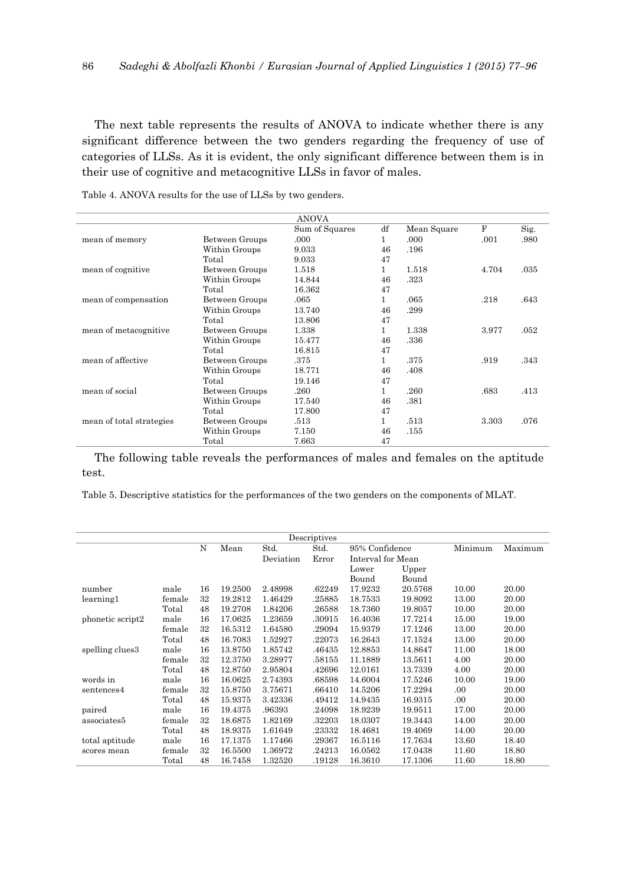The next table represents the results of ANOVA to indicate whether there is any significant difference between the two genders regarding the frequency of use of categories of LLSs. As it is evident, the only significant difference between them is in their use of cognitive and metacognitive LLSs in favor of males.

|                          |                | <b>ANOVA</b>   |              |             |       |      |
|--------------------------|----------------|----------------|--------------|-------------|-------|------|
|                          |                | Sum of Squares | df           | Mean Square | F     | Sig. |
| mean of memory           | Between Groups | .000           | 1            | .000        | .001  | .980 |
|                          | Within Groups  | 9.033          | 46           | .196        |       |      |
|                          | Total          | 9.033          | 47           |             |       |      |
| mean of cognitive        | Between Groups | 1.518          | 1            | 1.518       | 4.704 | .035 |
|                          | Within Groups  | 14.844         | 46           | .323        |       |      |
|                          | Total          | 16.362         | 47           |             |       |      |
| mean of compensation     | Between Groups | .065           | 1            | .065        | .218  | .643 |
|                          | Within Groups  | 13.740         | 46           | .299        |       |      |
|                          | Total          | 13.806         | 47           |             |       |      |
| mean of metacognitive    | Between Groups | 1.338          | 1            | 1.338       | 3.977 | .052 |
|                          | Within Groups  | 15.477         | 46           | .336        |       |      |
|                          | Total          | 16.815         | 47           |             |       |      |
| mean of affective        | Between Groups | .375           | $\mathbf{1}$ | .375        | .919  | .343 |
|                          | Within Groups  | 18.771         | 46           | .408        |       |      |
|                          | Total          | 19.146         | 47           |             |       |      |
| mean of social           | Between Groups | .260           | 1            | .260        | .683  | .413 |
|                          | Within Groups  | 17.540         | 46           | .381        |       |      |
|                          | Total          | 17.800         | 47           |             |       |      |
| mean of total strategies | Between Groups | .513           | 1            | .513        | 3.303 | .076 |
|                          | Within Groups  | 7.150          | 46           | .155        |       |      |
|                          | Total          | 7.663          | 47           |             |       |      |

Table 4. ANOVA results for the use of LLSs by two genders.

The following table reveals the performances of males and females on the aptitude test.

Table 5. Descriptive statistics for the performances of the two genders on the components of MLAT.

|                  | Descriptives |    |         |           |        |                   |         |         |         |  |  |  |
|------------------|--------------|----|---------|-----------|--------|-------------------|---------|---------|---------|--|--|--|
|                  |              | N  | Mean    | Std.      | Std.   | 95% Confidence    |         | Minimum | Maximum |  |  |  |
|                  |              |    |         | Deviation | Error  | Interval for Mean |         |         |         |  |  |  |
|                  |              |    |         |           |        | Lower             | Upper   |         |         |  |  |  |
|                  |              |    |         |           |        | Bound             | Bound   |         |         |  |  |  |
| number           | male         | 16 | 19.2500 | 2.48998   | .62249 | 17.9232           | 20.5768 | 10.00   | 20.00   |  |  |  |
| learning1        | female       | 32 | 19.2812 | 1.46429   | .25885 | 18.7533           | 19.8092 | 13.00   | 20.00   |  |  |  |
|                  | Total        | 48 | 19.2708 | 1.84206   | .26588 | 18.7360           | 19.8057 | 10.00   | 20.00   |  |  |  |
| phonetic script2 | male         | 16 | 17.0625 | 1.23659   | .30915 | 16.4036           | 17.7214 | 15.00   | 19.00   |  |  |  |
|                  | female       | 32 | 16.5312 | 1.64580   | .29094 | 15.9379           | 17.1246 | 13.00   | 20.00   |  |  |  |
|                  | Total        | 48 | 16.7083 | 1.52927   | .22073 | 16.2643           | 17.1524 | 13.00   | 20.00   |  |  |  |
| spelling clues3  | male         | 16 | 13.8750 | 1.85742   | .46435 | 12.8853           | 14.8647 | 11.00   | 18.00   |  |  |  |
|                  | female       | 32 | 12.3750 | 3.28977   | .58155 | 11.1889           | 13.5611 | 4.00    | 20.00   |  |  |  |
|                  | Total        | 48 | 12.8750 | 2.95804   | .42696 | 12.0161           | 13.7339 | 4.00    | 20.00   |  |  |  |
| words in         | male         | 16 | 16.0625 | 2.74393   | .68598 | 14.6004           | 17.5246 | 10.00   | 19.00   |  |  |  |
| sentences4       | female       | 32 | 15.8750 | 3.75671   | .66410 | 14.5206           | 17.2294 | .00.    | 20.00   |  |  |  |
|                  | Total        | 48 | 15.9375 | 3.42336   | .49412 | 14.9435           | 16.9315 | .00     | 20.00   |  |  |  |
| paired           | male         | 16 | 19.4375 | .96393    | .24098 | 18.9239           | 19.9511 | 17.00   | 20.00   |  |  |  |
| associates5      | female       | 32 | 18.6875 | 1.82169   | .32203 | 18.0307           | 19.3443 | 14.00   | 20.00   |  |  |  |
|                  | Total        | 48 | 18.9375 | 1.61649   | .23332 | 18.4681           | 19.4069 | 14.00   | 20.00   |  |  |  |
| total aptitude   | male         | 16 | 17.1375 | 1.17466   | .29367 | 16.5116           | 17.7634 | 13.60   | 18.40   |  |  |  |
| scores mean      | female       | 32 | 16.5500 | 1.36972   | .24213 | 16.0562           | 17.0438 | 11.60   | 18.80   |  |  |  |
|                  | Total        | 48 | 16.7458 | 1.32520   | .19128 | 16.3610           | 17.1306 | 11.60   | 18.80   |  |  |  |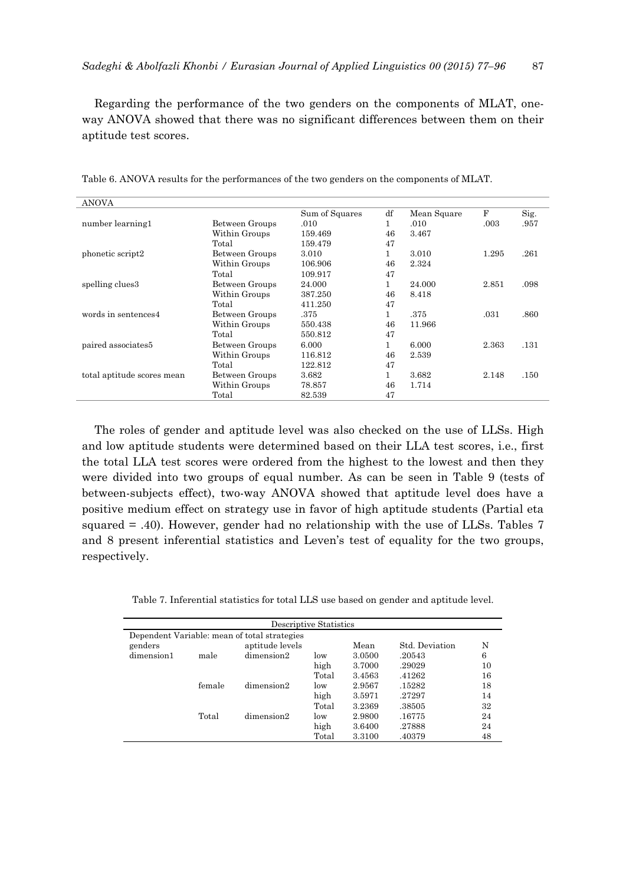Regarding the performance of the two genders on the components of MLAT, oneway ANOVA showed that there was no significant differences between them on their aptitude test scores.

| <b>ANOVA</b>               |                |                |    |             |       |      |
|----------------------------|----------------|----------------|----|-------------|-------|------|
|                            |                | Sum of Squares | df | Mean Square | F     | Sig. |
| number learning1           | Between Groups | .010           | 1  | .010        | .003  | .957 |
|                            | Within Groups  | 159.469        | 46 | 3.467       |       |      |
|                            | Total          | 159.479        | 47 |             |       |      |
| phonetic script2           | Between Groups | 3.010          |    | 3.010       | 1.295 | .261 |
|                            | Within Groups  | 106.906        | 46 | 2.324       |       |      |
|                            | Total          | 109.917        | 47 |             |       |      |
| spelling clues3            | Between Groups | 24.000         | 1. | 24.000      | 2.851 | .098 |
|                            | Within Groups  | 387.250        | 46 | 8.418       |       |      |
|                            | Total          | 411.250        | 47 |             |       |      |
| words in sentences4        | Between Groups | .375           | 1  | .375        | .031  | .860 |
|                            | Within Groups  | 550.438        | 46 | 11.966      |       |      |
|                            | Total          | 550.812        | 47 |             |       |      |
| paired associates5         | Between Groups | 6.000          | 1  | 6.000       | 2.363 | .131 |
|                            | Within Groups  | 116.812        | 46 | 2.539       |       |      |
|                            | Total          | 122.812        | 47 |             |       |      |
| total aptitude scores mean | Between Groups | 3.682          | 1  | 3.682       | 2.148 | .150 |
|                            | Within Groups  | 78.857         | 46 | 1.714       |       |      |
|                            | Total          | 82.539         | 47 |             |       |      |

Table 6. ANOVA results for the performances of the two genders on the components of MLAT.

The roles of gender and aptitude level was also checked on the use of LLSs. High and low aptitude students were determined based on their LLA test scores, i.e., first the total LLA test scores were ordered from the highest to the lowest and then they were divided into two groups of equal number. As can be seen in Table 9 (tests of between-subjects effect), two-way ANOVA showed that aptitude level does have a positive medium effect on strategy use in favor of high aptitude students (Partial eta squared = .40). However, gender had no relationship with the use of LLSs. Tables 7 and 8 present inferential statistics and Leven's test of equality for the two groups, respectively.

Table 7. Inferential statistics for total LLS use based on gender and aptitude level.

|                                              | Descriptive Statistics |                 |       |        |                |    |  |  |  |  |  |  |  |
|----------------------------------------------|------------------------|-----------------|-------|--------|----------------|----|--|--|--|--|--|--|--|
| Dependent Variable: mean of total strategies |                        |                 |       |        |                |    |  |  |  |  |  |  |  |
| genders                                      |                        | aptitude levels |       | Mean   | Std. Deviation | N  |  |  |  |  |  |  |  |
| dimension1                                   | male                   | dimension2      | low   | 3.0500 | .20543         | 6  |  |  |  |  |  |  |  |
|                                              |                        |                 | high  | 3.7000 | .29029         | 10 |  |  |  |  |  |  |  |
|                                              |                        |                 | Total | 3.4563 | .41262         | 16 |  |  |  |  |  |  |  |
|                                              | female                 | dimension2      | low   | 2.9567 | .15282         | 18 |  |  |  |  |  |  |  |
|                                              |                        |                 | high  | 3.5971 | .27297         | 14 |  |  |  |  |  |  |  |
|                                              |                        |                 | Total | 3.2369 | .38505         | 32 |  |  |  |  |  |  |  |
|                                              | Total                  | dimension2      | low   | 2.9800 | .16775         | 24 |  |  |  |  |  |  |  |
|                                              |                        |                 | high  | 3.6400 | .27888         | 24 |  |  |  |  |  |  |  |
|                                              |                        |                 | Total | 3.3100 | .40379         | 48 |  |  |  |  |  |  |  |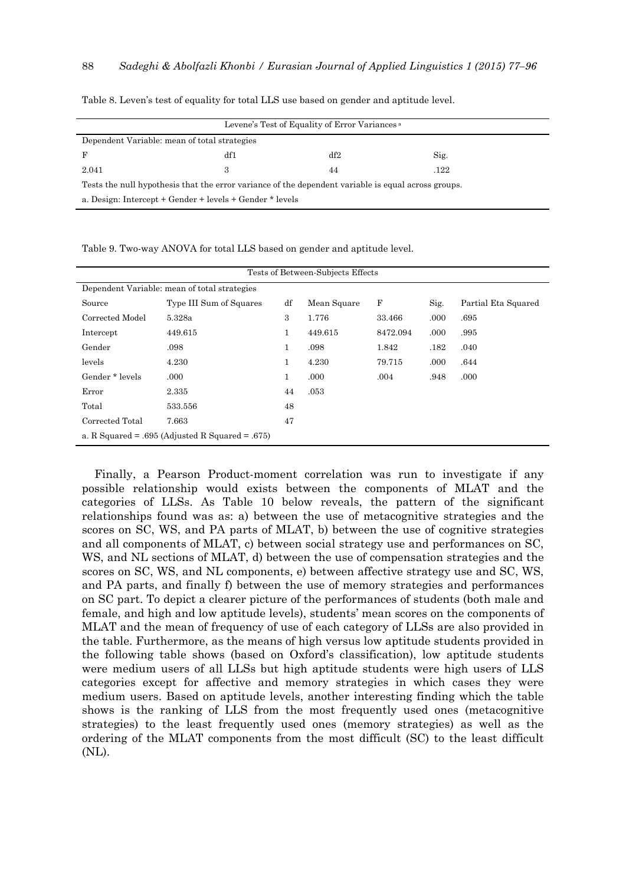| Levene's Test of Equality of Error Variances <sup>a</sup> |                                                                                                     |     |      |  |  |  |  |  |  |  |
|-----------------------------------------------------------|-----------------------------------------------------------------------------------------------------|-----|------|--|--|--|--|--|--|--|
| Dependent Variable: mean of total strategies              |                                                                                                     |     |      |  |  |  |  |  |  |  |
| F                                                         | df1                                                                                                 | df2 | Sig. |  |  |  |  |  |  |  |
| 2.041                                                     |                                                                                                     | 44  | .122 |  |  |  |  |  |  |  |
|                                                           | Tests the null hypothesis that the error variance of the dependent variable is equal across groups. |     |      |  |  |  |  |  |  |  |
| a. Design: Intercept + Gender + levels + Gender * levels  |                                                                                                     |     |      |  |  |  |  |  |  |  |

Table 8. Leven's test of equality for total LLS use based on gender and aptitude level.

Table 9. Two-way ANOVA for total LLS based on gender and aptitude level.

| Tests of Between-Subjects Effects            |                                                 |    |             |          |      |                     |  |  |  |  |  |
|----------------------------------------------|-------------------------------------------------|----|-------------|----------|------|---------------------|--|--|--|--|--|
| Dependent Variable: mean of total strategies |                                                 |    |             |          |      |                     |  |  |  |  |  |
| Source                                       | Type III Sum of Squares                         | df | Mean Square | F        | Sig. | Partial Eta Squared |  |  |  |  |  |
| Corrected Model                              | 5.328a                                          | 3  | 1.776       | 33.466   | .000 | .695                |  |  |  |  |  |
| Intercept                                    | 449.615                                         |    | 449.615     | 8472.094 | .000 | .995                |  |  |  |  |  |
| Gender                                       | .098                                            | 1  | .098        | 1.842    | .182 | .040                |  |  |  |  |  |
| levels                                       | 4.230                                           | 1  | 4.230       | 79.715   | .000 | .644                |  |  |  |  |  |
| Gender * levels                              | .000                                            | 1  | .000        | .004     | .948 | .000                |  |  |  |  |  |
| Error                                        | 2.335                                           | 44 | .053        |          |      |                     |  |  |  |  |  |
| Total                                        | 533.556                                         | 48 |             |          |      |                     |  |  |  |  |  |
| Corrected Total                              | 7.663                                           | 47 |             |          |      |                     |  |  |  |  |  |
|                                              | a. R Squared = .695 (Adjusted R Squared = .675) |    |             |          |      |                     |  |  |  |  |  |

Finally, a Pearson Product-moment correlation was run to investigate if any possible relationship would exists between the components of MLAT and the categories of LLSs. As Table 10 below reveals, the pattern of the significant relationships found was as: a) between the use of metacognitive strategies and the scores on SC, WS, and PA parts of MLAT, b) between the use of cognitive strategies and all components of MLAT, c) between social strategy use and performances on SC, WS, and NL sections of MLAT, d) between the use of compensation strategies and the scores on SC, WS, and NL components, e) between affective strategy use and SC, WS, and PA parts, and finally f) between the use of memory strategies and performances on SC part. To depict a clearer picture of the performances of students (both male and female, and high and low aptitude levels), students' mean scores on the components of MLAT and the mean of frequency of use of each category of LLSs are also provided in the table. Furthermore, as the means of high versus low aptitude students provided in the following table shows (based on Oxford's classification), low aptitude students were medium users of all LLSs but high aptitude students were high users of LLS categories except for affective and memory strategies in which cases they were medium users. Based on aptitude levels, another interesting finding which the table shows is the ranking of LLS from the most frequently used ones (metacognitive strategies) to the least frequently used ones (memory strategies) as well as the ordering of the MLAT components from the most difficult (SC) to the least difficult (NL).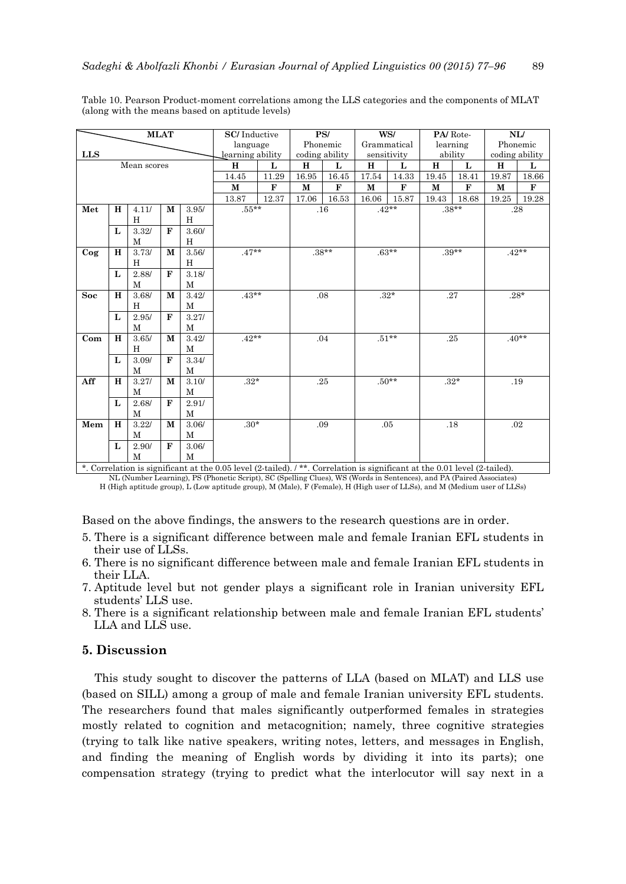|            | <b>MLAT</b>  |              | <b>SC/Inductive</b> |              |                  | PS/   |             | WS/            |             | PA/Rote-    |              | NL/         |              |                |
|------------|--------------|--------------|---------------------|--------------|------------------|-------|-------------|----------------|-------------|-------------|--------------|-------------|--------------|----------------|
|            |              |              |                     |              | language         |       |             | Phonemic       |             | Grammatical |              | learning    |              | Phonemic       |
| <b>LLS</b> |              |              |                     |              | learning ability |       |             | coding ability |             | sensitivity |              | ability     |              | coding ability |
|            |              | Mean scores  |                     |              | H                | L     | $\mathbf H$ | L              | H           | L           | $\mathbf H$  | L           | H            | L              |
|            |              |              |                     |              | 14.45            | 11.29 | 16.95       | 16.45          | 17.54       | 14.33       | 19.45        | 18.41       | 19.87        | 18.66          |
|            |              |              |                     |              | M                | F     | $\mathbf M$ | $\mathbf{F}$   | $\mathbf M$ | F           | $\mathbf{M}$ | $\mathbf F$ | $\mathbf{M}$ | $\mathbf F$    |
|            |              |              |                     |              | 13.87            | 12.37 | 17.06       | 16.53          | 16.06       | 15.87       | 19.43        | 18.68       | 19.25        | 19.28          |
| Met        | H            | 4.11/        | M                   | 3.95/        | $.55***$         |       |             | .16            |             | $.42**$     |              | $.38***$    |              | .28            |
|            |              | H            |                     | H            |                  |       |             |                |             |             |              |             |              |                |
|            | $\mathbf{L}$ | 3.32/        | $\mathbf{F}$        | 3.60/        |                  |       |             |                |             |             |              |             |              |                |
|            |              | M            |                     | H            |                  |       |             |                |             |             |              |             |              |                |
| $\log$     | H            | 3.73/        | $\mathbf{M}$        | $3.56/$      | $.47**$          |       |             | $.38***$       |             | $.63**$     |              | $.39**$     |              | $.42**$        |
|            |              | H            |                     | H            |                  |       |             |                |             |             |              |             |              |                |
|            | $\mathbf{L}$ | 2.88/        | $\mathbf{F}$        | 3.18/        |                  |       |             |                |             |             |              |             |              |                |
|            |              | M            |                     | M            |                  |       |             |                |             |             |              |             |              |                |
| <b>Soc</b> | H            | 3.68/        | M                   | 3.42/        | $.43**$          |       |             | .08            | $.32*$      |             |              | .27         |              | $.28*$         |
|            |              | H            |                     | M            |                  |       |             |                |             |             |              |             |              |                |
|            | L            | 2.95/        | $\mathbf{F}$        | 3.27/        |                  |       |             |                |             |             |              |             |              |                |
|            |              | $\mathbf{M}$ |                     | $\mathbf{M}$ |                  |       |             |                |             |             |              |             |              |                |
| Com        | H            | 3.65/        | M                   | 3.42/        | $.42**$          |       |             | .04            |             | $.51**$     |              | .25         |              | $.40**$        |
|            |              | H            |                     | М            |                  |       |             |                |             |             |              |             |              |                |
|            | $\mathbf{L}$ | 3.09/        | $\mathbf{F}$        | 3.34/        |                  |       |             |                |             |             |              |             |              |                |
|            |              | M            |                     | M            |                  |       |             |                |             |             |              |             |              |                |
| Aff        | H            | 3.27/        | M                   | 3.10/        | $.32*$           |       |             | .25            |             | $.50**$     |              | $.32*$      |              | .19            |
|            |              | M            |                     | M            |                  |       |             |                |             |             |              |             |              |                |
|            | L            | 2.68/        | $\mathbf{F}$        | 2.91/        |                  |       |             |                |             |             |              |             |              |                |
|            |              | M            |                     | M            |                  |       |             |                |             |             |              |             |              |                |
| Mem        | H            | 3.22/        | M                   | 3.06/        | $.30*$           |       |             | .09            |             | .05         | .18          |             |              | .02            |
|            |              | M            |                     | M            |                  |       |             |                |             |             |              |             |              |                |
|            | L            | 2.90/        | $\mathbf{F}$        | 3.06/        |                  |       |             |                |             |             |              |             |              |                |
|            |              | M            |                     | $\mathbf{M}$ |                  |       |             |                |             |             |              |             |              |                |

Table 10. Pearson Product-moment correlations among the LLS categories and the components of MLAT (along with the means based on aptitude levels)

\*. Correlation is significant at the 0.05 level (2-tailed). / \*\*. Correlation is significant at the 0.01 level (2-tailed). NL (Number Learning), PS (Phonetic Script), SC (Spelling Clues), WS (Words in Sentences), and PA (Paired Associates) H (High aptitude group), L (Low aptitude group), M (Male), F (Female), H (High user of LLSs), and M (Medium user of LLSs)

Based on the above findings, the answers to the research questions are in order.

- 5. There is a significant difference between male and female Iranian EFL students in their use of LLSs.
- 6. There is no significant difference between male and female Iranian EFL students in their LLA.
- 7. Aptitude level but not gender plays a significant role in Iranian university EFL students' LLS use.
- 8. There is a significant relationship between male and female Iranian EFL students' LLA and LLS use.

## **5. Discussion**

This study sought to discover the patterns of LLA (based on MLAT) and LLS use (based on SILL) among a group of male and female Iranian university EFL students. The researchers found that males significantly outperformed females in strategies mostly related to cognition and metacognition; namely, three cognitive strategies (trying to talk like native speakers, writing notes, letters, and messages in English, and finding the meaning of English words by dividing it into its parts); one compensation strategy (trying to predict what the interlocutor will say next in a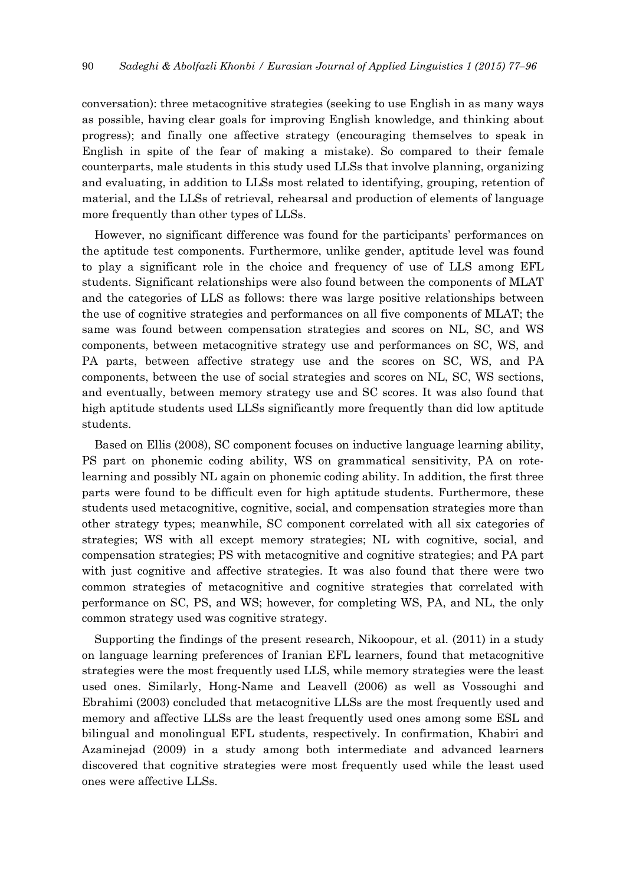conversation): three metacognitive strategies (seeking to use English in as many ways as possible, having clear goals for improving English knowledge, and thinking about progress); and finally one affective strategy (encouraging themselves to speak in English in spite of the fear of making a mistake). So compared to their female counterparts, male students in this study used LLSs that involve planning, organizing and evaluating, in addition to LLSs most related to identifying, grouping, retention of material, and the LLSs of retrieval, rehearsal and production of elements of language more frequently than other types of LLSs.

However, no significant difference was found for the participants' performances on the aptitude test components. Furthermore, unlike gender, aptitude level was found to play a significant role in the choice and frequency of use of LLS among EFL students. Significant relationships were also found between the components of MLAT and the categories of LLS as follows: there was large positive relationships between the use of cognitive strategies and performances on all five components of MLAT; the same was found between compensation strategies and scores on NL, SC, and WS components, between metacognitive strategy use and performances on SC, WS, and PA parts, between affective strategy use and the scores on SC, WS, and PA components, between the use of social strategies and scores on NL, SC, WS sections, and eventually, between memory strategy use and SC scores. It was also found that high aptitude students used LLSs significantly more frequently than did low aptitude students.

Based on Ellis (2008), SC component focuses on inductive language learning ability, PS part on phonemic coding ability, WS on grammatical sensitivity, PA on rotelearning and possibly NL again on phonemic coding ability. In addition, the first three parts were found to be difficult even for high aptitude students. Furthermore, these students used metacognitive, cognitive, social, and compensation strategies more than other strategy types; meanwhile, SC component correlated with all six categories of strategies; WS with all except memory strategies; NL with cognitive, social, and compensation strategies; PS with metacognitive and cognitive strategies; and PA part with just cognitive and affective strategies. It was also found that there were two common strategies of metacognitive and cognitive strategies that correlated with performance on SC, PS, and WS; however, for completing WS, PA, and NL, the only common strategy used was cognitive strategy.

Supporting the findings of the present research, Nikoopour, et al. (2011) in a study on language learning preferences of Iranian EFL learners, found that metacognitive strategies were the most frequently used LLS, while memory strategies were the least used ones. Similarly, Hong-Name and Leavell (2006) as well as Vossoughi and Ebrahimi (2003) concluded that metacognitive LLSs are the most frequently used and memory and affective LLSs are the least frequently used ones among some ESL and bilingual and monolingual EFL students, respectively. In confirmation, Khabiri and Azaminejad (2009) in a study among both intermediate and advanced learners discovered that cognitive strategies were most frequently used while the least used ones were affective LLSs.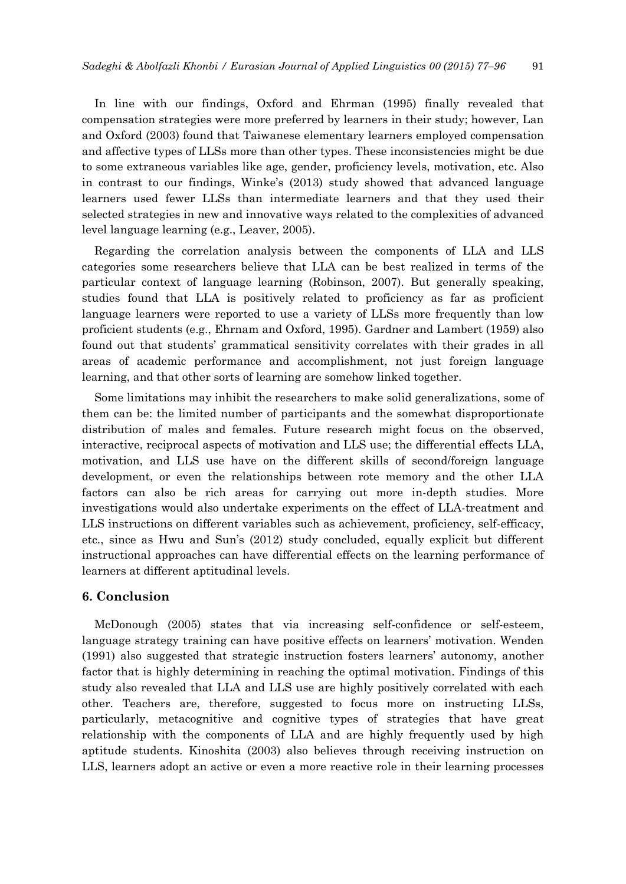In line with our findings, Oxford and Ehrman (1995) finally revealed that compensation strategies were more preferred by learners in their study; however, Lan and Oxford (2003) found that Taiwanese elementary learners employed compensation and affective types of LLSs more than other types. These inconsistencies might be due to some extraneous variables like age, gender, proficiency levels, motivation, etc. Also in contrast to our findings, Winke's (2013) study showed that advanced language learners used fewer LLSs than intermediate learners and that they used their selected strategies in new and innovative ways related to the complexities of advanced level language learning (e.g., Leaver, 2005).

Regarding the correlation analysis between the components of LLA and LLS categories some researchers believe that LLA can be best realized in terms of the particular context of language learning (Robinson, 2007). But generally speaking, studies found that LLA is positively related to proficiency as far as proficient language learners were reported to use a variety of LLSs more frequently than low proficient students (e.g., Ehrnam and Oxford, 1995). Gardner and Lambert (1959) also found out that students' grammatical sensitivity correlates with their grades in all areas of academic performance and accomplishment, not just foreign language learning, and that other sorts of learning are somehow linked together.

Some limitations may inhibit the researchers to make solid generalizations, some of them can be: the limited number of participants and the somewhat disproportionate distribution of males and females. Future research might focus on the observed, interactive, reciprocal aspects of motivation and LLS use; the differential effects LLA, motivation, and LLS use have on the different skills of second/foreign language development, or even the relationships between rote memory and the other LLA factors can also be rich areas for carrying out more in-depth studies. More investigations would also undertake experiments on the effect of LLA-treatment and LLS instructions on different variables such as achievement, proficiency, self-efficacy, etc., since as Hwu and Sun's (2012) study concluded, equally explicit but different instructional approaches can have differential effects on the learning performance of learners at different aptitudinal levels.

## **6. Conclusion**

McDonough (2005) states that via increasing self-confidence or self-esteem, language strategy training can have positive effects on learners' motivation. Wenden (1991) also suggested that strategic instruction fosters learners' autonomy, another factor that is highly determining in reaching the optimal motivation. Findings of this study also revealed that LLA and LLS use are highly positively correlated with each other. Teachers are, therefore, suggested to focus more on instructing LLSs, particularly, metacognitive and cognitive types of strategies that have great relationship with the components of LLA and are highly frequently used by high aptitude students. Kinoshita (2003) also believes through receiving instruction on LLS, learners adopt an active or even a more reactive role in their learning processes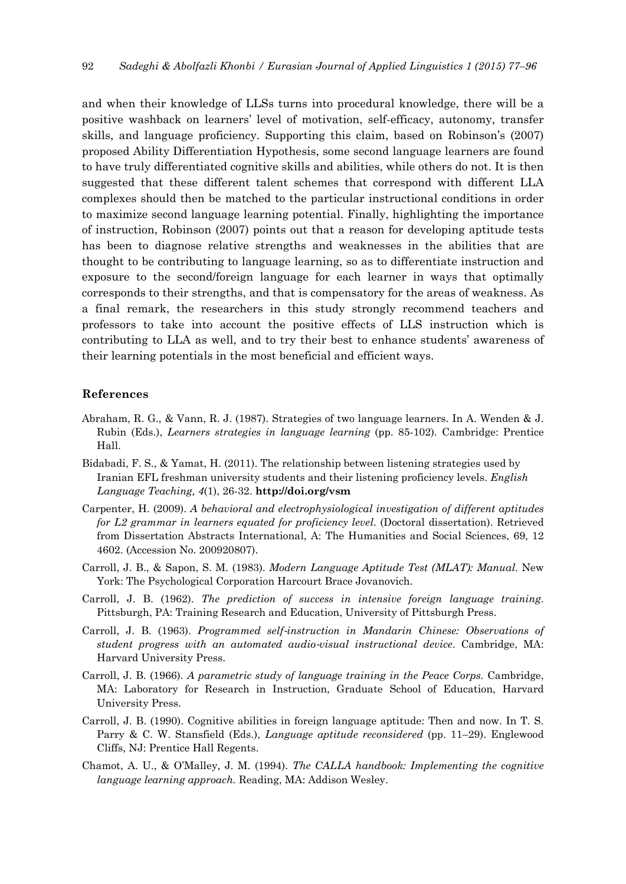and when their knowledge of LLSs turns into procedural knowledge, there will be a positive washback on learners' level of motivation, self-efficacy, autonomy, transfer skills, and language proficiency. Supporting this claim, based on Robinson's (2007) proposed Ability Differentiation Hypothesis, some second language learners are found to have truly differentiated cognitive skills and abilities, while others do not. It is then suggested that these different talent schemes that correspond with different LLA complexes should then be matched to the particular instructional conditions in order to maximize second language learning potential. Finally, highlighting the importance of instruction, Robinson (2007) points out that a reason for developing aptitude tests has been to diagnose relative strengths and weaknesses in the abilities that are thought to be contributing to language learning, so as to differentiate instruction and exposure to the second/foreign language for each learner in ways that optimally corresponds to their strengths, and that is compensatory for the areas of weakness. As a final remark, the researchers in this study strongly recommend teachers and professors to take into account the positive effects of LLS instruction which is contributing to LLA as well, and to try their best to enhance students' awareness of their learning potentials in the most beneficial and efficient ways.

#### **References**

- Abraham, R. G., & Vann, R. J. (1987). Strategies of two language learners. In A. Wenden & J. Rubin (Eds.), *Learners strategies in language learning* (pp. 85-102)*.* Cambridge: Prentice Hall.
- Bidabadi, F. S., & Yamat, H. (2011). The relationship between listening strategies used by Iranian EFL freshman university students and their listening proficiency levels. *English Language Teaching, 4*(1), 26-32. **http://doi.org/vsm**
- Carpenter, H. (2009). *A behavioral and electrophysiological investigation of different aptitudes for L2 grammar in learners equated for proficiency level*. (Doctoral dissertation). Retrieved from Dissertation Abstracts International, A: The Humanities and Social Sciences, 69, 12 4602. (Accession No. 200920807).
- Carroll, J. B., & Sapon, S. M. (1983). *Modern Language Aptitude Test (MLAT): Manual*. New York: The Psychological Corporation Harcourt Brace Jovanovich.
- Carroll, J. B. (1962). *The prediction of success in intensive foreign language training*. Pittsburgh, PA: Training Research and Education, University of Pittsburgh Press.
- Carroll, J. B. (1963). *Programmed self*‐*instruction in Mandarin Chinese: Observations of student progress with an automated audio*‐*visual instructional device*. Cambridge, MA: Harvard University Press.
- Carroll, J. B. (1966). *A parametric study of language training in the Peace Corps.* Cambridge, MA: Laboratory for Research in Instruction, Graduate School of Education, Harvard University Press.
- Carroll, J. B. (1990). Cognitive abilities in foreign language aptitude: Then and now. In T. S. Parry & C. W. Stansfield (Eds.), *Language aptitude reconsidered* (pp. 11–29). Englewood Cliffs, NJ: Prentice Hall Regents.
- Chamot, A. U., & O'Malley, J. M. (1994). *The CALLA handbook: Implementing the cognitive language learning approach.* Reading, MA: Addison Wesley.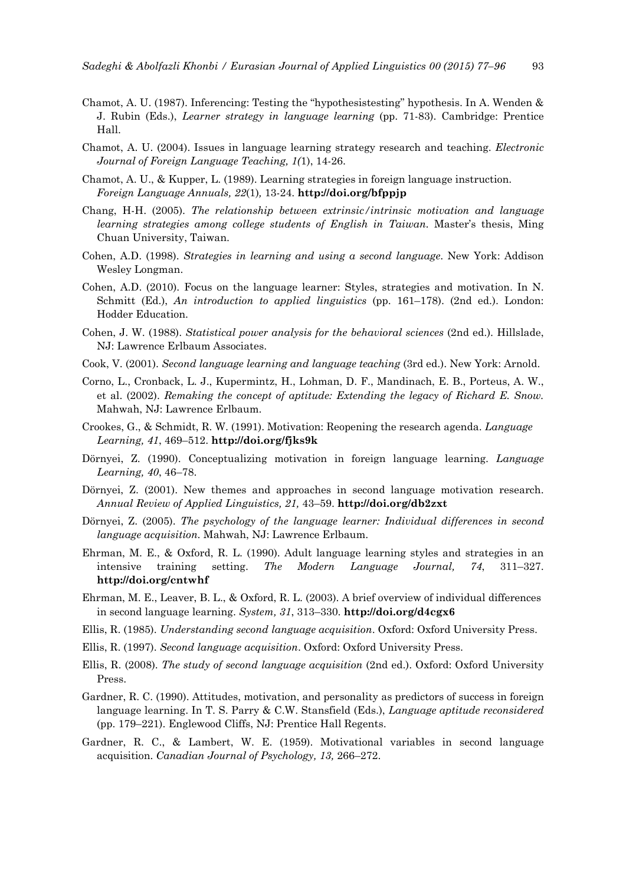- Chamot, A. U. (1987). Inferencing: Testing the "hypothesistesting" hypothesis. In A. Wenden & J. Rubin (Eds.), *Learner strategy in language learning* (pp. 71-83). Cambridge: Prentice Hall.
- Chamot, A. U. (2004). Issues in language learning strategy research and teaching. *Electronic Journal of Foreign Language Teaching, 1(*1), 14-26.
- Chamot, A. U., & Kupper, L. (1989). Learning strategies in foreign language instruction. *Foreign Language Annuals, 22*(1)*,* 13-24. **http://doi.org/bfppjp**
- Chang, H-H. (2005). *The relationship between extrinsic/intrinsic motivation and language learning strategies among college students of English in Taiwan.* Master's thesis, Ming Chuan University, Taiwan.
- Cohen, A.D. (1998). *Strategies in learning and using a second language*. New York: Addison Wesley Longman.
- Cohen, A.D. (2010). Focus on the language learner: Styles, strategies and motivation. In N. Schmitt (Ed.), *An introduction to applied linguistics* (pp. 161–178). (2nd ed.). London: Hodder Education.
- Cohen, J. W. (1988). *Statistical power analysis for the behavioral sciences* (2nd ed.). Hillslade, NJ: Lawrence Erlbaum Associates.
- Cook, V. (2001). *Second language learning and language teaching* (3rd ed.). New York: Arnold.
- Corno, L., Cronback, L. J., Kupermintz, H., Lohman, D. F., Mandinach, E. B., Porteus, A. W., et al. (2002). *Remaking the concept of aptitude: Extending the legacy of Richard E. Snow.*  Mahwah, NJ: Lawrence Erlbaum.
- Crookes, G., & Schmidt, R. W. (1991). Motivation: Reopening the research agenda. *Language Learning, 41*, 469–512. **http://doi.org/fjks9k**
- Dörnyei, Z. (1990). Conceptualizing motivation in foreign language learning. *Language Learning, 40*, 46–78.
- Dörnyei, Z. (2001). New themes and approaches in second language motivation research. *Annual Review of Applied Linguistics, 21,* 43–59. **http://doi.org/db2zxt**
- Dörnyei, Z. (2005). *The psychology of the language learner: Individual differences in second language acquisition.* Mahwah, NJ: Lawrence Erlbaum.
- Ehrman, M. E., & Oxford, R. L. (1990). Adult language learning styles and strategies in an intensive training setting. *The Modern Language Journal, 74*, 311–327. **http://doi.org/cntwhf**
- Ehrman, M. E., Leaver, B. L., & Oxford, R. L. (2003). A brief overview of individual differences in second language learning. *System, 31*, 313–330. **http://doi.org/d4cgx6**
- Ellis, R. (1985). *Understanding second language acquisition*. Oxford: Oxford University Press.
- Ellis, R. (1997). *Second language acquisition*. Oxford: Oxford University Press.
- Ellis, R. (2008). *The study of second language acquisition* (2nd ed.). Oxford: Oxford University Press.
- Gardner, R. C. (1990). Attitudes, motivation, and personality as predictors of success in foreign language learning. In T. S. Parry & C.W. Stansfield (Eds.), *Language aptitude reconsidered* (pp. 179–221). Englewood Cliffs, NJ: Prentice Hall Regents.
- Gardner, R. C., & Lambert, W. E. (1959). Motivational variables in second language acquisition. *Canadian Journal of Psychology, 13,* 266–272.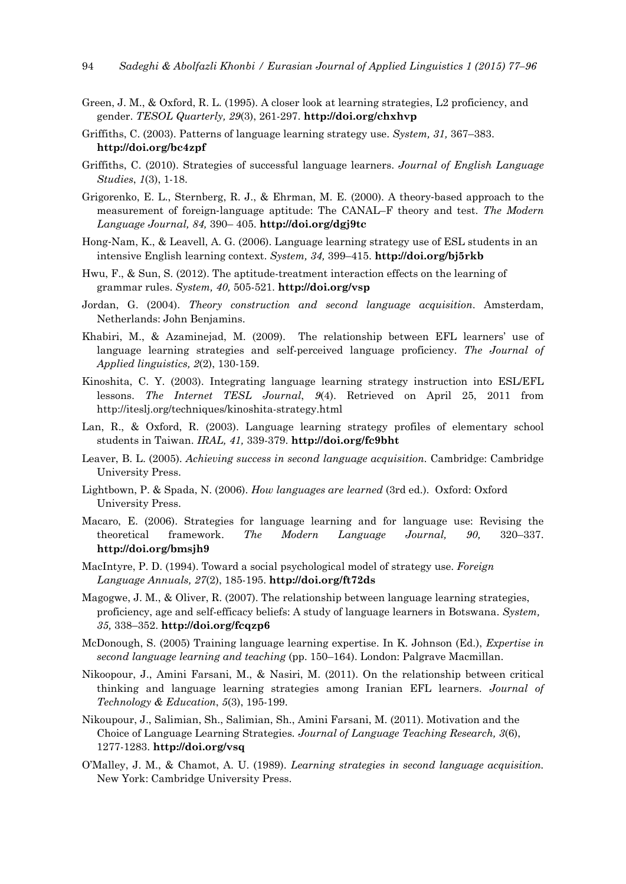- Green, J. M., & Oxford, R. L. (1995). A closer look at learning strategies, L2 proficiency, and gender. *TESOL Quarterly, 29*(3), 261-297. **http://doi.org/chxhvp**
- Griffiths, C. (2003). Patterns of language learning strategy use. *System, 31,* 367–383. **http://doi.org/bc4zpf**
- Griffiths, C. (2010). Strategies of successful language learners. *Journal of English Language Studies*, *1*(3), 1-18.
- Grigorenko, E. L., Sternberg, R. J., & Ehrman, M. E. (2000). A theory-based approach to the measurement of foreign‐language aptitude: The CANAL–F theory and test. *The Modern Language Journal, 84,* 390– 405. **http://doi.org/dgj9tc**
- Hong‐Nam, K., & Leavell, A. G. (2006). Language learning strategy use of ESL students in an intensive English learning context. *System, 34,* 399–415. **http://doi.org/bj5rkb**
- Hwu, F., & Sun, S. (2012). The aptitude-treatment interaction effects on the learning of grammar rules. *System, 40,* 505-521. **http://doi.org/vsp**
- Jordan, G. (2004). *Theory construction and second language acquisition*. Amsterdam, Netherlands: John Benjamins.
- Khabiri, M., & Azaminejad, M. (2009). The relationship between EFL learners' use of language learning strategies and self-perceived language proficiency. *The Journal of Applied linguistics, 2*(2), 130-159.
- Kinoshita, C. Y. (2003). Integrating language learning strategy instruction into ESL/EFL lessons. *The Internet TESL Journal*, *9*(4). Retrieved on April 25, 2011 from http://iteslj.org/techniques/kinoshita-strategy.html
- Lan, R., & Oxford, R. (2003). Language learning strategy profiles of elementary school students in Taiwan. *IRAL, 41,* 339-379. **http://doi.org/fc9bht**
- Leaver, B. L. (2005). *Achieving success in second language acquisition.* Cambridge: Cambridge University Press.
- Lightbown, P. & Spada, N. (2006). *How languages are learned* (3rd ed.). Oxford: Oxford University Press.
- Macaro, E. (2006). Strategies for language learning and for language use: Revising the theoretical framework. *The Modern Language Journal, 90,* 320–337. **http://doi.org/bmsjh9**
- MacIntyre, P. D. (1994). Toward a social psychological model of strategy use. *Foreign Language Annuals, 27*(2), 185-195. **http://doi.org/ft72ds**
- Magogwe, J. M., & Oliver, R. (2007). The relationship between language learning strategies, proficiency, age and self-efficacy beliefs: A study of language learners in Botswana. *System, 35,* 338–352. **http://doi.org/fcqzp6**
- McDonough, S. (2005) Training language learning expertise. In K. Johnson (Ed.), *Expertise in second language learning and teaching* (pp. 150–164). London: Palgrave Macmillan.
- Nikoopour, J., Amini Farsani, M., & Nasiri, M. (2011). On the relationship between critical thinking and language learning strategies among Iranian EFL learners. *Journal of Technology & Education*, *5*(3), 195-199.
- Nikoupour, J., Salimian, Sh., Salimian, Sh., Amini Farsani, M. (2011). Motivation and the Choice of Language Learning Strategies*. Journal of Language Teaching Research, 3*(6), 1277-1283. **http://doi.org/vsq**
- O'Malley, J. M., & Chamot, A. U. (1989). *Learning strategies in second language acquisition.* New York: Cambridge University Press.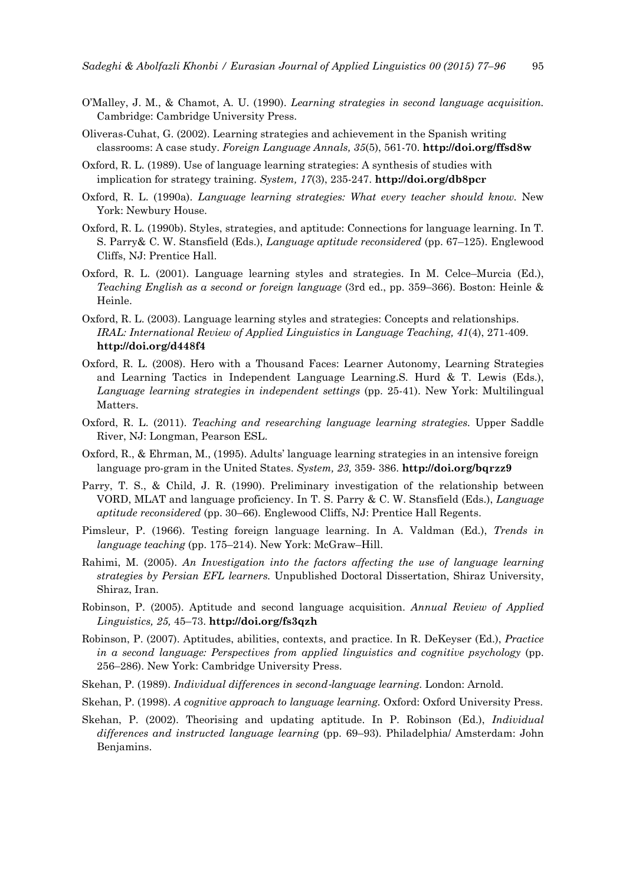- O'Malley, J. M., & Chamot, A. U. (1990). *Learning strategies in second language acquisition.* Cambridge: Cambridge University Press.
- Oliveras-Cuhat, G. (2002). Learning strategies and achievement in the Spanish writing classrooms: A case study. *Foreign Language Annals, 35*(5), 561-70. **http://doi.org/ffsd8w**
- Oxford, R. L. (1989). Use of language learning strategies: A synthesis of studies with implication for strategy training. *System, 17*(3), 235-247. **http://doi.org/db8pcr**
- Oxford, R. L. (1990a). *Language learning strategies: What every teacher should know.* New York: Newbury House.
- Oxford, R. L. (1990b). Styles, strategies, and aptitude: Connections for language learning. In T. S. Parry& C. W. Stansfield (Eds.), *Language aptitude reconsidered* (pp. 67–125). Englewood Cliffs, NJ: Prentice Hall.
- Oxford, R. L. (2001). Language learning styles and strategies. In M. Celce–Murcia (Ed.), *Teaching English as a second or foreign language* (3rd ed., pp. 359–366). Boston: Heinle & Heinle.
- Oxford, R. L. (2003). Language learning styles and strategies: Concepts and relationships. *IRAL: International Review of Applied Linguistics in Language Teaching, 41*(4), 271-409. **http://doi.org/d448f4**
- Oxford, R. L. (2008). Hero with a Thousand Faces: Learner Autonomy, Learning Strategies and Learning Tactics in Independent Language Learning.S. Hurd & T. Lewis (Eds.), *Language learning strategies in independent settings* (pp. 25-41). New York: Multilingual Matters.
- Oxford, R. L. (2011). *Teaching and researching language learning strategies.* Upper Saddle River, NJ: Longman, Pearson ESL.
- Oxford, R., & Ehrman, M., (1995). Adults' language learning strategies in an intensive foreign language pro-gram in the United States. *System, 23,* 359- 386. **http://doi.org/bqrzz9**
- Parry, T. S., & Child, J. R. (1990). Preliminary investigation of the relationship between VORD, MLAT and language proficiency. In T. S. Parry & C. W. Stansfield (Eds.), *Language aptitude reconsidered* (pp. 30–66). Englewood Cliffs, NJ: Prentice Hall Regents.
- Pimsleur, P. (1966). Testing foreign language learning. In A. Valdman (Ed.), *Trends in language teaching* (pp. 175–214). New York: McGraw–Hill.
- Rahimi, M. (2005). *An Investigation into the factors affecting the use of language learning strategies by Persian EFL learners.* Unpublished Doctoral Dissertation, Shiraz University, Shiraz, Iran.
- Robinson, P. (2005). Aptitude and second language acquisition. *Annual Review of Applied Linguistics, 25,* 45–73. **http://doi.org/fs3qzh**
- Robinson, P. (2007). Aptitudes, abilities, contexts, and practice. In R. DeKeyser (Ed.), *Practice in a second language: Perspectives from applied linguistics and cognitive psychology* (pp. 256–286). New York: Cambridge University Press.
- Skehan, P. (1989). *Individual differences in second*‐*language learning.* London: Arnold.
- Skehan, P. (1998). *A cognitive approach to language learning.* Oxford: Oxford University Press.
- Skehan, P. (2002). Theorising and updating aptitude. In P. Robinson (Ed.), *Individual differences and instructed language learning* (pp. 69–93). Philadelphia/ Amsterdam: John Benjamins.